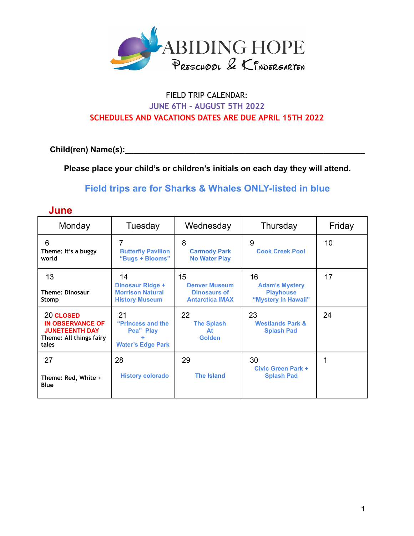

## FIELD TRIP CALENDAR: **JUNE 6TH - AUGUST 5TH 2022 SCHEDULES AND VACATIONS DATES ARE DUE APRIL 15TH 2022**

**Child(ren) Name(s):\_\_\_\_\_\_\_\_\_\_\_\_\_\_\_\_\_\_\_\_\_\_\_\_\_\_\_\_\_\_\_\_\_\_\_\_\_\_\_\_\_\_\_\_\_\_\_\_\_\_\_\_\_\_\_\_\_\_**

**June**

**Please place your child's or children's initials on each day they will attend.**

**Field trips are for Sharks & Whales ONLY-listed in blue**

Thursday | Friday

| Monday                                                                                   | Tuesday                                                                    | Wednesday                                                                   |  |
|------------------------------------------------------------------------------------------|----------------------------------------------------------------------------|-----------------------------------------------------------------------------|--|
| 6<br>Theme: It's a buggy<br>world                                                        | <b>Butterfly Pavilion</b><br>"Bugs + Blooms"                               | 8<br><b>Carmody Park</b><br><b>No Water Play</b>                            |  |
| 13<br><b>Theme: Dinosaur</b><br>Stomp                                                    | 14<br>Dinosaur Ridge +<br><b>Morrison Natural</b><br><b>History Museum</b> | 15<br><b>Denver Museum</b><br><b>Dinosaurs of</b><br><b>Antarctica IMAX</b> |  |
| 20 CLOSED<br><b>IN OBSERVANCE OF</b><br><b>JUNETEENTH DAY</b><br>Theme: All things fairy | 21<br>"Princess and the<br>Pea" Play                                       | 22<br><b>The Splash</b><br>At<br><b>Golden</b>                              |  |

| 6<br>Theme: It's a buggy<br>world                                                                 | 7<br><b>Butterfly Pavilion</b><br>"Bugs + Blooms"                          | 8<br><b>Carmody Park</b><br><b>No Water Play</b>                     | 9<br><b>Cook Creek Pool</b>                                            | 10 |
|---------------------------------------------------------------------------------------------------|----------------------------------------------------------------------------|----------------------------------------------------------------------|------------------------------------------------------------------------|----|
| 13<br><b>Theme: Dinosaur</b><br>Stomp                                                             | 14<br>Dinosaur Ridge +<br><b>Morrison Natural</b><br><b>History Museum</b> | 15<br><b>Denver Museum</b><br>Dinosaurs of<br><b>Antarctica IMAX</b> | 16<br><b>Adam's Mystery</b><br><b>Playhouse</b><br>"Mystery in Hawaii" | 17 |
| 20 CLOSED<br><b>IN OBSERVANCE OF</b><br><b>JUNETEENTH DAY</b><br>Theme: All things fairy<br>tales | 21<br>"Princess and the<br>Pea" Play<br><b>Water's Edge Park</b>           | 22<br><b>The Splash</b><br>At<br><b>Golden</b>                       | 23<br><b>Westlands Park &amp;</b><br><b>Splash Pad</b>                 | 24 |
| 27<br>Theme: Red, White +<br>Blue                                                                 | 28<br><b>History colorado</b>                                              | 29<br><b>The Island</b>                                              | 30<br><b>Civic Green Park +</b><br><b>Splash Pad</b>                   |    |